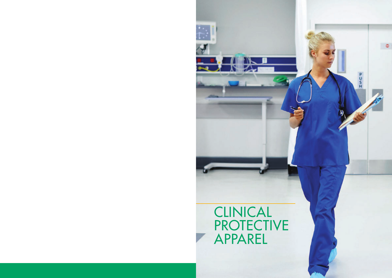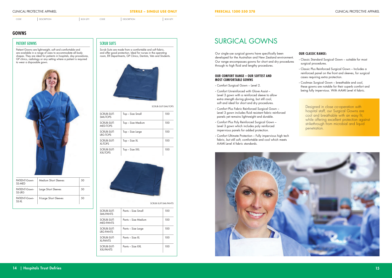CODE DESCRIPTION BOX QTY. CODE DESCRIPTION BOX QTY.

| <b>CLINICAL PROTECTIVE APPAREL</b> | <b>STERILE - SINGLE USE ONLY</b> | <b>FREECALL 1300 550 278</b> | <b>CLINICAL PROTECTIVE APPAREI</b> |
|------------------------------------|----------------------------------|------------------------------|------------------------------------|
|------------------------------------|----------------------------------|------------------------------|------------------------------------|

## PATIENT GOWNS

Patient Gowns are lightweight, soft and comfortable and are available in a range of sizes to accommodate all body shapes. They are ideal for patients in hospitals, day procedures, GP clinics, radiology or any setting where a patient is required to wear a disposable gown.



## **SCRUB SUITS**

Scrub Suits are made from a comfortable and soft fabric, and offer good protection. Ideal for nurses in the operating room, ER Departments, GP Clinics, Dentists, Vets and Students.



SCRUB-SUIT-SML-TOPS

| <b>SCRUB-SUIT-</b><br>SMI-TOPS | Top – Size Small  | 100 |
|--------------------------------|-------------------|-----|
| SCRUB-SUIT-<br><b>MED-TOPS</b> | Top – Size Medium | 100 |
| SCRUB-SUIT-<br><b>IRG-TOPS</b> | Top – Size Large  | 100 |
| SCRUB-SUIT-<br>XI-TOPS         | Top – Size XL     | 100 |
| SCRUB-SUIT-<br>XXI-TOPS        | Top – Size XXL    | 100 |



SCRUB-SUIT-SML-PANTS

| SCRUB-SUIT-<br>SMI-PANTS        | Pants – Size Small  | 100 |
|---------------------------------|---------------------|-----|
| SCRUB-SUIT-<br><b>MFD-PANTS</b> | Pants – Size Medium | 100 |
| SCRUB-SUIT-<br><b>IRG-PANTS</b> | Pants – Size Large  | 100 |
| SCRUB-SUIT-<br><b>XI-PANTS</b>  | Pants – Size XI     | 100 |
| SCRUB-SUIT-<br><b>XXI-PANTS</b> | Pants – Size XXI    | 100 |

# **GOWNS**

Our single-use surgical gowns have specifically been developed for the Australian and New Zealand environment. Our range encompasses gowns for short and dry procedures through to high fluid and lengthy procedures.

#### **OUR COMFORT RANGE – OUR SOFTEST AND MOST COMFORTABLE GOWNS**

- · Comfort Surgical Gown Level 2.
- · Comfort Unreinforced with Glove Assist Level 3 gown with a reinforced sleeve to allow extra strength during gloving, but still cool, soft and ideal for short and dry procedures.
- · Comfort Plus Fabric Reinforced Surgical Gown Level 3 gown includes fluid resistant fabric reinforced panels yet remains lightweight and durable.
- · Comfort Plus Poly Reinforced Surgical Gown Level 3 gown which includes poly reinforced impervious panels for added protection.
- · Comfort Ultimate Protection Fully impervious high tech fabric, but still soft, comfortable and cool which meets AAMI Level 4 fabric standards.



## **OUR CLASSIC RANGE:**

- · Classic Standard Surgical Gown suitable for most surgical procedures.
- · Classic Plus Reinforced Surgical Gown Includes a reinforced panel on the front and sleeves, for surgical cases requiring extra protection.
- · Coolmax Surgical Gown breathable and cool, these gowns are notable for their superb comfort and being fully impervious. With AAMI Level 4 fabric.

# SURGICAL GOWNS

Designed in close co-operation with hospital staff, our Surgical Gowns are cool and breathable with an easy fit, while offering excellent protection against strikethrough from microbial and liquid penetration.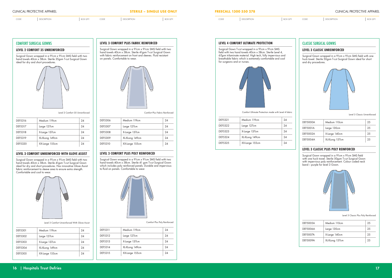## **Example 2** CLASSIC SURGICAL GOWNS

CODE DESCRIPTION BOX QTY. CODE DESCRIPTION BOX QTY. CODE DESCRIPTION BOX QTY. CODE DESCRIPTION BOX QTY.

Surgical Gown wrapped in a 91cm x 91cm SMS field with two hand towels 40cm x 58cm. Sterile 35gsm T-cut Surgical Gown ideal for dry and short procedures.  $\vert$  with two  $\vert$ 

| <b>CLINICAL PROTECTIVE APPAREL</b> | <b>STERILE - SINGLE USE ONLY</b> | <b>FREECALL 1300 550 278</b> | <b>CLINICAL PROTECTIVE APPAREL</b> |
|------------------------------------|----------------------------------|------------------------------|------------------------------------|
|------------------------------------|----------------------------------|------------------------------|------------------------------------|

## **FREECALL 1300 550 278**



Level 2 Comfort 35 Unreinforced

Surgical Gown wrapped in a 91cm x 91cm SMS field with two hand towels 40cm x 58cm. Sterile 41gsm T-cut Surgical Gown with fabric reinforcement on front and sleeves. Fluid resistant with rabine romioredition on non-<br>on panels. Comfortable to wear.



Surgical Gown wrapped in a 91cm x 91cm SMS field with two Surgical Gown wrapped in a 91cm x 91cm SMS field with two<br>hand towels 40cm x 58cm. Sterile 41gsm T-cut Surgical Gown ideal for dry and short procedures. Has innovative Glove Assist ideal for dry and short procedures. Has innovative Glove A:<br>fabric reinforcement to sleeve area to ensure extra strength. Comfortable and cool to wear.



Level 3 Comfort Unreinforced With Glove Assist

| DEF5301 | Medium 119cm   | 24 |
|---------|----------------|----|
| DEF5302 | Large 127cm    | 24 |
| DEF5303 | X-Large 137cm  | 24 |
| DEF5304 | XL-XLong 149cm | 24 |
| DEF5305 | XX-Large 155cm | 24 |

| DEF5316        | Medium 119cm   | 24 |
|----------------|----------------|----|
| DEF5317        | Large 127cm    | 24 |
| <b>DEF5318</b> | X-Large 137cm  | 24 |
| DEF5319        | XL-XLong 149cm | 24 |
| DEF5320        | XX-Large 155cm | 24 |

## LEVEL 3 COMFORT UNREINFORCED WITH GLOVE ASSIST

Fabric Reinforced

Comfort Plus Fabric Reinforced

Surgical Gown wrapped in a 91cm x 91cm SMS field with one huck towel. Sterile 50gsm T-cut Surgical Gown with impervious poly reinforcement. Colour coded neck band – purple for level 3 Gown.



| DEF5306 | Medium 119cm   | 24 |
|---------|----------------|----|
| DEF5307 | Large 127cm    | 24 |
| DEF5308 | X-Large 137cm  | 24 |
| DEF5309 | XL-XLong 149cm | 24 |
| DEF5310 | XX-Large 155cm | 24 |
|         |                |    |

#### **LEVEL 3 COMFORT PLUS POLY REINFORCED**

Surgical Gown wrapped in a 91cm x 91cm SMS field with two hand towels 40cm x 58cm. Sterile 41 gsm T-cut Surgical Gown

## **LEVEL 3 COMFORT PLUS FABRIC REINFORCED** Reinforced



Comfort Plus Poly Reinforced

| DEF5311        | Medium 119cm   | 24 |
|----------------|----------------|----|
| DEF5312        | Large 127cm    | 24 |
| <b>DEF5313</b> | X-Large 137cm  | 24 |
| DEF5314        | XL-XLong 149cm | 24 |
| DEF5315        | XX-Large 155cm | 24 |
|                |                |    |

Surgical Gown T-cut wrapped in a 91cm x 91cm SMS field with two hand towels 40cm x 58cm. Sterile Level 4, 67gsm trilaminate material. High tech, fully impervious and breathable fabric which is extremely comfortable and cool for surgeons and or nurses.



Fabric Reinforced

Comfort Ultimate Protection made with Level 4 fabric

#### **LEVEL 3 CLASSIC UNREINFORCED**

Surgical Gown wrapped in a 91cm x 91cm SMS field with one huck towel. Sterile 50gsm T-cut Surgical Gown ideal for short and dry procedures. Neck band colour code



Level 4 fabric

## COMFORT SURGICAL GOWNS

#### LEVEL 2 COMFORT 35 UNREINFORCED

| DEF5321 | Medium 119cm   | 24 |
|---------|----------------|----|
| DEF5322 | Large 127cm    | 24 |
| DEF5323 | X-Large 137cm  | 24 |
| DEF5324 | XL-XLong 149cm | 24 |
| DEF5325 | XX-Large 155cm | 24 |
|         |                |    |

Level 3 Classic Unreinforced

| <b>DEF5000A</b> | Medium 110cm   | 25 |
|-----------------|----------------|----|
| <b>DEF5001A</b> | Large 130cm    | 25 |
| <b>DEF5002A</b> | X-Large 140cm  | 25 |
| <b>DEF5004A</b> | XL-XLong 157cm | 25 |

## **LEVEL 3 CLASSIC PLUS POLY REINFORCED**

Level 3 Classic Plus Poly Reinforced

| <b>DEF5005A</b> | Medium 110cm   | 25 |
|-----------------|----------------|----|
| <b>DEF5006A</b> | Large 130cm    | 25 |
| <b>DEF5007A</b> | X-Large 140cm  | 25 |
| <b>DEF5009A</b> | XL-XLong 157cm | 25 |